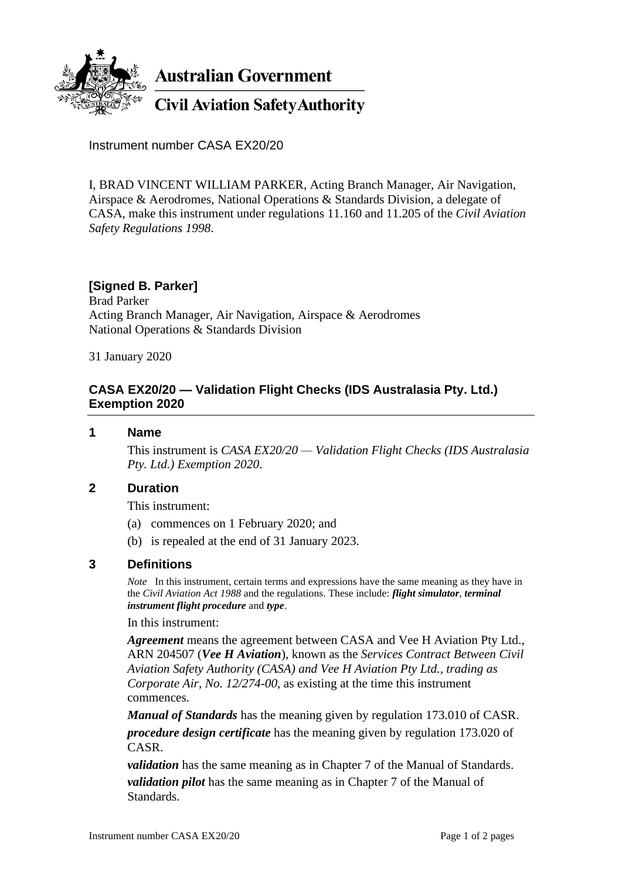

**Australian Government** 

**Civil Aviation Safety Authority** 

Instrument number CASA EX20/20

I, BRAD VINCENT WILLIAM PARKER, Acting Branch Manager, Air Navigation, Airspace & Aerodromes, National Operations & Standards Division, a delegate of CASA, make this instrument under regulations 11.160 and 11.205 of the *Civil Aviation Safety Regulations 1998*.

# **[Signed B. Parker]**

Brad Parker Acting Branch Manager, Air Navigation, Airspace & Aerodromes National Operations & Standards Division

31 January 2020

## **CASA EX20/20 — Validation Flight Checks (IDS Australasia Pty. Ltd.) Exemption 2020**

#### **1 Name**

This instrument is *CASA EX20/20 — Validation Flight Checks (IDS Australasia Pty. Ltd.) Exemption 2020*.

## **2 Duration**

This instrument:

- (a) commences on 1 February 2020; and
- (b) is repealed at the end of 31 January 2023.

## **3 Definitions**

*Note* In this instrument, certain terms and expressions have the same meaning as they have in the *Civil Aviation Act 1988* and the regulations. These include: *flight simulator*, *terminal instrument flight procedure* and *type*.

#### In this instrument:

*Agreement* means the agreement between CASA and Vee H Aviation Pty Ltd., ARN 204507 (*Vee H Aviation*), known as the *Services Contract Between Civil Aviation Safety Authority (CASA) and Vee H Aviation Pty Ltd., trading as Corporate Air, No. 12/274-00*, as existing at the time this instrument commences.

*Manual of Standards* has the meaning given by regulation 173.010 of CASR. *procedure design certificate* has the meaning given by regulation 173.020 of CASR.

*validation* has the same meaning as in Chapter 7 of the Manual of Standards. *validation pilot* has the same meaning as in Chapter 7 of the Manual of Standards.